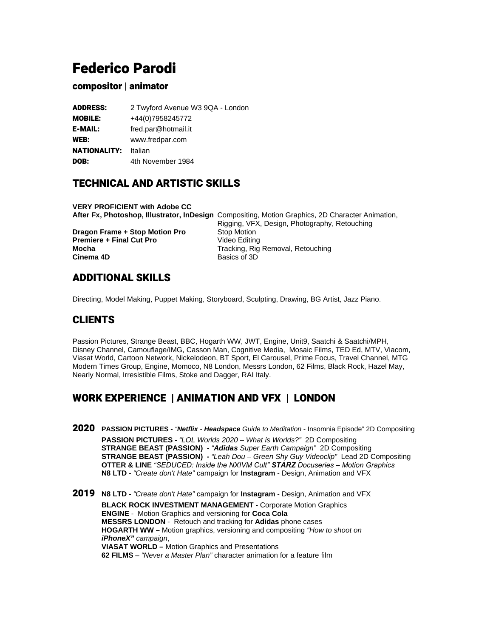# Federico Parodi

### compositor | animator

| <b>ADDRESS:</b> | 2 Twyford Avenue W3 9QA - London |
|-----------------|----------------------------------|
| <b>MOBILE:</b>  | +44(0)7958245772                 |
| <b>E-MAIL:</b>  | fred.par@hotmail.it              |
| WEB:            | www.fredpar.com                  |
| NATIONALITY:    | Italian                          |
| DOB:            | 4th November 1984                |
|                 |                                  |

# TECHNICAL AND ARTISTIC SKILLS

**VERY PROFICIENT with Adobe CC After Fx, Photoshop, Illustrator, InDesign** Compositing, Motion Graphics, 2D Character Animation, Rigging, VFX, Design, Photography, Retouching **Dragon Frame + Stop Motion Pro** Stop Motion **Premiere + Final Cut Pro** Video Editing **Mocha Mocha** Tracking, Rig Removal, Retouching<br> **Cinema 4D** Basics of 3D **Cinema 4D** 

# ADDITIONAL SKILLS

Directing, Model Making, Puppet Making, Storyboard, Sculpting, Drawing, BG Artist, Jazz Piano.

# CLIENTS

Passion Pictures, Strange Beast, BBC, Hogarth WW, JWT, Engine, Unit9, Saatchi & Saatchi/MPH, Disney Channel, Camouflage/IMG, Casson Man, Cognitive Media, Mosaic Films, TED Ed, MTV, Viacom, Viasat World, Cartoon Network, Nickelodeon, BT Sport, El Carousel, Prime Focus, Travel Channel, MTG Modern Times Group, Engine, Momoco, N8 London, Messrs London, 62 Films, Black Rock, Hazel May, Nearly Normal, Irresistible Films, Stoke and Dagger, RAI Italy.

# WORK EXPERIENCE | ANIMATION AND VFX | LONDON

- 2020 **PASSION PICTURES** "**Netflix Headspace** Guide to Meditation Insomnia Episode" 2D Compositing **PASSION PICTURES -** "LOL Worlds 2020 – What is Worlds?" 2D Compositing **STRANGE BEAST (PASSION) -** "**Adidas** Super Earth Campaign" 2D Compositing **STRANGE BEAST (PASSION) -** "Leah Dou – Green Shy Guy Videoclip" Lead 2D Compositing **OTTER & LINE** "*SEDUCED: Inside the NXIVM Cult" STARZ Docuseries – Motion Graphics* **N8 LTD -** "Create don't Hate" campaign for **Instagram** - Design, Animation and VFX
- 2019 **N8 LTD** "Create don't Hate" campaign for **Instagram** Design, Animation and VFX **BLACK ROCK INVESTMENT MANAGEMENT** - Corporate Motion Graphics **ENGINE** - Motion Graphics and versioning for **Coca Cola MESSRS LONDON** - Retouch and tracking for **Adidas** phone cases **HOGARTH WW –** Motion graphics, versioning and compositing "How to shoot on **iPhoneX"** campaign, **VIASAT WORLD –** Motion Graphics and Presentations **62 FILMS** – "Never a Master Plan" character animation for a feature film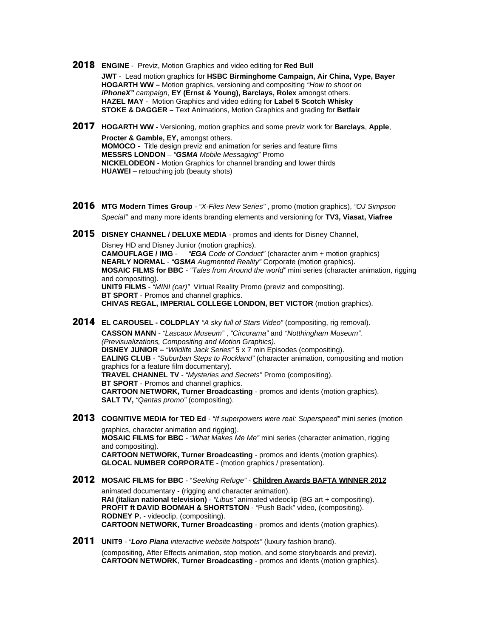2018 **ENGINE** - Previz, Motion Graphics and video editing for **Red Bull**

**JWT** - Lead motion graphics for **HSBC Birminghome Campaign, Air China, Vype, Bayer HOGARTH WW –** Motion graphics, versioning and compositing "How to shoot on **iPhoneX"** campaign, **EY (Ernst & Young), Barclays, Rolex** amongst others. **HAZEL MAY** - Motion Graphics and video editing for **Label 5 Scotch Whisky STOKE & DAGGER –** Text Animations, Motion Graphics and grading for **Betfair**

- 2017 **HOGARTH WW** Versioning, motion graphics and some previz work for **Barclays**, **Apple**, **Procter & Gamble, EY,** amongst others. **MOMOCO** - Title design previz and animation for series and feature films **MESSRS LONDON** – "**GSMA** Mobile Messaging" Promo **NICKELODEON** - Motion Graphics for channel branding and lower thirds **HUAWEI** – retouching job (beauty shots)
- 2016 **MTG Modern Times Group**  "X-Files New Series" , promo (motion graphics), "OJ Simpson Special" and many more idents branding elements and versioning for **TV3, Viasat, Viafree**
- 2015 **DISNEY CHANNEL / DELUXE MEDIA** promos and idents for Disney Channel, Disney HD and Disney Junior (motion graphics). **CAMOUFLAGE / IMG** - "**EGA** Code of Conduct" (character anim + motion graphics) **NEARLY NORMAL** - "**GSMA** Augmented Reality" Corporate (motion graphics). **MOSAIC FILMS for BBC** - "Tales from Around the world" mini series (character animation, rigging and compositing). **UNIT9 FILMS** - "MINI (car)" Virtual Reality Promo (previz and compositing). **BT SPORT** - Promos and channel graphics. **CHIVAS REGAL, IMPERIAL COLLEGE LONDON, BET VICTOR** (motion graphics).
- 2014 **EL CAROUSEL COLDPLAY** "A sky full of Stars Video" (compositing, rig removal).

**CASSON MANN** - "Lascaux Museum" , "Circorama" and "Notthingham Museum". (Previsualizations, Compositing and Motion Graphics). **DISNEY JUNIOR** – "Wildlife Jack Series" 5 x 7 min Episodes (compositing). **EALING CLUB** - "Suburban Steps to Rockland" (character animation, compositing and motion graphics for a feature film documentary). **TRAVEL CHANNEL TV** - "Mysteries and Secrets" Promo (compositing). **BT SPORT** - Promos and channel graphics. **CARTOON NETWORK, Turner Broadcasting** - promos and idents (motion graphics). **SALT TV, "Qantas promo" (compositing).** 

- 2013 COGNITIVE MEDIA for TED Ed "If superpowers were real: Superspeed" mini series (motion graphics, character animation and rigging). **MOSAIC FILMS for BBC** - "What Makes Me Me" mini series (character animation, rigging and compositing). **CARTOON NETWORK, Turner Broadcasting** - promos and idents (motion graphics). **GLOCAL NUMBER CORPORATE** - (motion graphics / presentation).
- 2012 **MOSAIC FILMS for BBC** "Seeking Refuge" - **Children Awards BAFTA WINNER 2012** animated documentary - (rigging and character animation). **RAI (italian national television)** - "Libus" animated videoclip (BG art + compositing). **PROFIT ft DAVID BOOMAH & SHORTSTON** - "Push Back" video, (compositing). **RODNEY P.** - videoclip, (compositing). **CARTOON NETWORK, Turner Broadcasting** - promos and idents (motion graphics).
- 2011 **UNIT9**  "**Loro Piana** interactive website hotspots" (luxury fashion brand). (compositing, After Effects animation, stop motion, and some storyboards and previz). **CARTOON NETWORK**, **Turner Broadcasting** - promos and idents (motion graphics).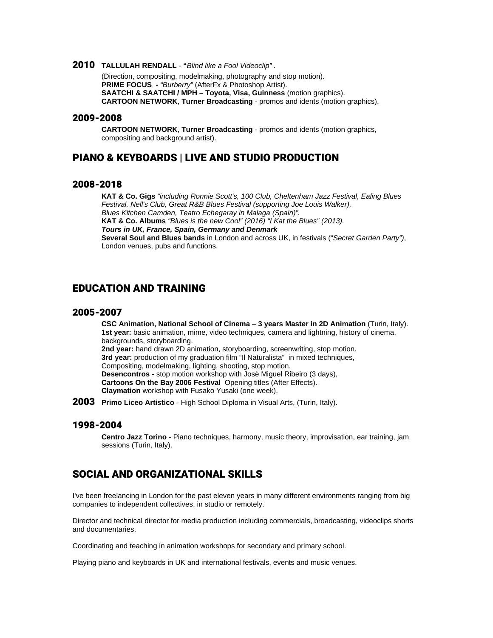#### 2010 **TALLULAH RENDALL** - **"**Blind like a Fool Videoclip" .

(Direction, compositing, modelmaking, photography and stop motion). **PRIME FOCUS** - "Burberry" (AfterFx & Photoshop Artist). **SAATCHI & SAATCHI / MPH – Toyota, Visa, Guinness** (motion graphics). **CARTOON NETWORK**, **Turner Broadcasting** - promos and idents (motion graphics).

#### 2009-2008

**CARTOON NETWORK**, **Turner Broadcasting** - promos and idents (motion graphics, compositing and background artist).

### PIANO & KEYBOARDS | LIVE AND STUDIO PRODUCTION

#### 2008-2018

**KAT & Co. Gigs** "including Ronnie Scott's, 100 Club, Cheltenham Jazz Festival, Ealing Blues Festival, Nell's Club, Great R&B Blues Festival (supporting Joe Louis Walker), Blues Kitchen Camden, Teatro Echegaray in Malaga (Spain)". **KAT & Co. Albums** "Blues is the new Cool" (2016) "I Kat the Blues" (2013). **Tours in UK, France, Spain, Germany and Denmark Several Soul and Blues bands** in London and across UK, in festivals ("Secret Garden Party"), London venues, pubs and functions.

### EDUCATION AND TRAINING

#### 2005-2007

**CSC Animation, National School of Cinema** – **3 years Master in 2D Animation** (Turin, Italy). **1st year:** basic animation, mime, video techniques, camera and lightning, history of cinema, backgrounds, storyboarding. **2nd year:** hand drawn 2D animation, storyboarding, screenwriting, stop motion. **3rd year:** production of my graduation film "Il Naturalista" in mixed techniques, Compositing, modelmaking, lighting, shooting, stop motion. **Desencontros** - stop motion workshop with Josè Miguel Ribeiro (3 days), **Cartoons On the Bay 2006 Festival** Opening titles (After Effects). **Claymation** workshop with Fusako Yusaki (one week).

2003 **Primo Liceo Artistico** - High School Diploma in Visual Arts, (Turin, Italy).

#### 1998-2004

**Centro Jazz Torino** - Piano techniques, harmony, music theory, improvisation, ear training, jam sessions (Turin, Italy).

### SOCIAL AND ORGANIZATIONAL SKILLS

I've been freelancing in London for the past eleven years in many different environments ranging from big companies to independent collectives, in studio or remotely.

Director and technical director for media production including commercials, broadcasting, videoclips shorts and documentaries.

Coordinating and teaching in animation workshops for secondary and primary school.

Playing piano and keyboards in UK and international festivals, events and music venues.